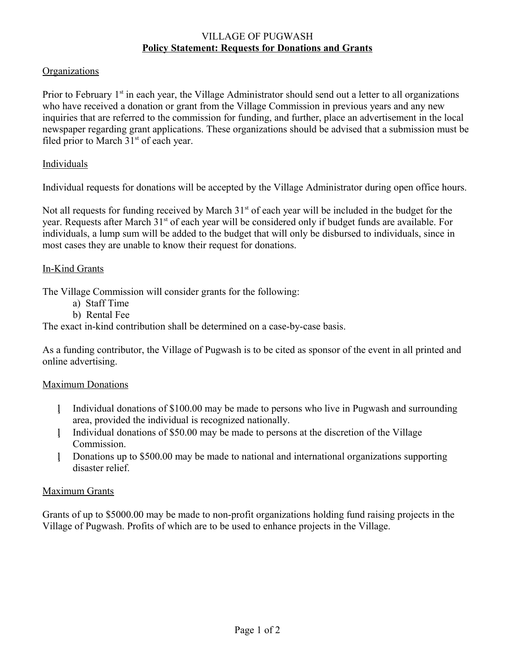### VILLAGE OF PUGWASH **Policy Statement: Requests for Donations and Grants**

# **Organizations**

Prior to February 1<sup>st</sup> in each year, the Village Administrator should send out a letter to all organizations who have received a donation or grant from the Village Commission in previous years and any new inquiries that are referred to the commission for funding, and further, place an advertisement in the local newspaper regarding grant applications. These organizations should be advised that a submission must be filed prior to March  $31<sup>st</sup>$  of each year.

## Individuals

Individual requests for donations will be accepted by the Village Administrator during open office hours.

Not all requests for funding received by March  $31<sup>st</sup>$  of each year will be included in the budget for the year. Requests after March 31<sup>st</sup> of each year will be considered only if budget funds are available. For individuals, a lump sum will be added to the budget that will only be disbursed to individuals, since in most cases they are unable to know their request for donations.

### In-Kind Grants

The Village Commission will consider grants for the following:

- a) Staff Time
- b) Rental Fee

The exact in-kind contribution shall be determined on a case-by-case basis.

As a funding contributor, the Village of Pugwash is to be cited as sponsor of the event in all printed and online advertising.

# Maximum Donations

- Individual donations of \$100.00 may be made to persons who live in Pugwash and surrounding area, provided the individual is recognized nationally.
- Individual donations of \$50.00 may be made to persons at the discretion of the Village Commission.
- Donations up to \$500.00 may be made to national and international organizations supporting disaster relief.

#### Maximum Grants

Grants of up to \$5000.00 may be made to non-profit organizations holding fund raising projects in the Village of Pugwash. Profits of which are to be used to enhance projects in the Village.